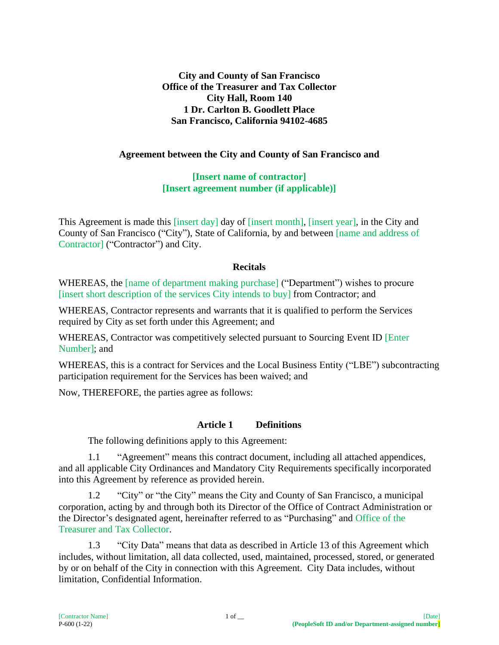**City and County of San Francisco Office of the Treasurer and Tax Collector City Hall, Room 140 1 Dr. Carlton B. Goodlett Place San Francisco, California 94102-4685**

#### **Agreement between the City and County of San Francisco and**

#### **[Insert name of contractor] [Insert agreement number (if applicable)]**

This Agreement is made this [insert day] day of [insert month], [insert year], in the City and County of San Francisco ("City"), State of California, by and between [name and address of Contractor] ("Contractor") and City.

#### **Recitals**

WHEREAS, the [name of department making purchase] ("Department") wishes to procure [insert short description of the services City intends to buy] from Contractor; and

WHEREAS, Contractor represents and warrants that it is qualified to perform the Services required by City as set forth under this Agreement; and

WHEREAS, Contractor was competitively selected pursuant to Sourcing Event ID [Enter Number]; and

WHEREAS, this is a contract for Services and the Local Business Entity ("LBE") subcontracting participation requirement for the Services has been waived; and

Now, THEREFORE, the parties agree as follows:

#### **Article 1 Definitions**

The following definitions apply to this Agreement:

1.1 "Agreement" means this contract document, including all attached appendices, and all applicable City Ordinances and Mandatory City Requirements specifically incorporated into this Agreement by reference as provided herein.

1.2 "City" or "the City" means the City and County of San Francisco, a municipal corporation, acting by and through both its Director of the Office of Contract Administration or the Director's designated agent, hereinafter referred to as "Purchasing" and Office of the Treasurer and Tax Collector.

1.3 "City Data" means that data as described in Article 13 of this Agreement which includes, without limitation, all data collected, used, maintained, processed, stored, or generated by or on behalf of the City in connection with this Agreement. City Data includes, without limitation, Confidential Information.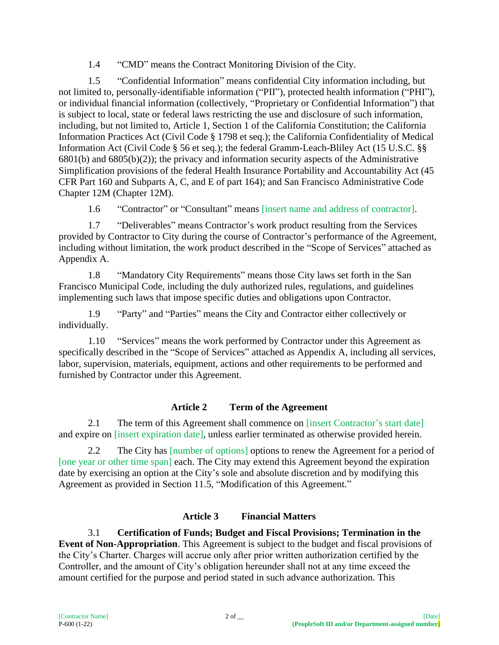1.4 "CMD" means the Contract Monitoring Division of the City.

1.5 "Confidential Information" means confidential City information including, but not limited to, personally-identifiable information ("PII"), protected health information ("PHI"), or individual financial information (collectively, "Proprietary or Confidential Information") that is subject to local, state or federal laws restricting the use and disclosure of such information, including, but not limited to, Article 1, Section 1 of the California Constitution; the California Information Practices Act (Civil Code § 1798 et seq.); the California Confidentiality of Medical Information Act (Civil Code § 56 et seq.); the federal Gramm-Leach-Bliley Act (15 U.S.C. §§ 6801(b) and 6805(b)(2)); the privacy and information security aspects of the Administrative Simplification provisions of the federal Health Insurance Portability and Accountability Act (45 CFR Part 160 and Subparts A, C, and E of part 164); and San Francisco Administrative Code Chapter 12M (Chapter 12M).

1.6 "Contractor" or "Consultant" means [insert name and address of contractor].

1.7 "Deliverables" means Contractor's work product resulting from the Services provided by Contractor to City during the course of Contractor's performance of the Agreement, including without limitation, the work product described in the "Scope of Services" attached as Appendix A.

1.8 "Mandatory City Requirements" means those City laws set forth in the San Francisco Municipal Code, including the duly authorized rules, regulations, and guidelines implementing such laws that impose specific duties and obligations upon Contractor.

1.9 "Party" and "Parties" means the City and Contractor either collectively or individually.

1.10 "Services" means the work performed by Contractor under this Agreement as specifically described in the "Scope of Services" attached as Appendix A, including all services, labor, supervision, materials, equipment, actions and other requirements to be performed and furnished by Contractor under this Agreement.

# **Article 2 Term of the Agreement**

2.1 The term of this Agreement shall commence on [insert Contractor's start date] and expire on [insert expiration date], unless earlier terminated as otherwise provided herein.

2.2 The City has [number of options] options to renew the Agreement for a period of [one year or other time span] each. The City may extend this Agreement beyond the expiration date by exercising an option at the City's sole and absolute discretion and by modifying this Agreement as provided in Section 11.5, "Modification of this Agreement."

# **Article 3 Financial Matters**

3.1 **Certification of Funds; Budget and Fiscal Provisions; Termination in the Event of Non-Appropriation**. This Agreement is subject to the budget and fiscal provisions of the City's Charter. Charges will accrue only after prior written authorization certified by the Controller, and the amount of City's obligation hereunder shall not at any time exceed the amount certified for the purpose and period stated in such advance authorization. This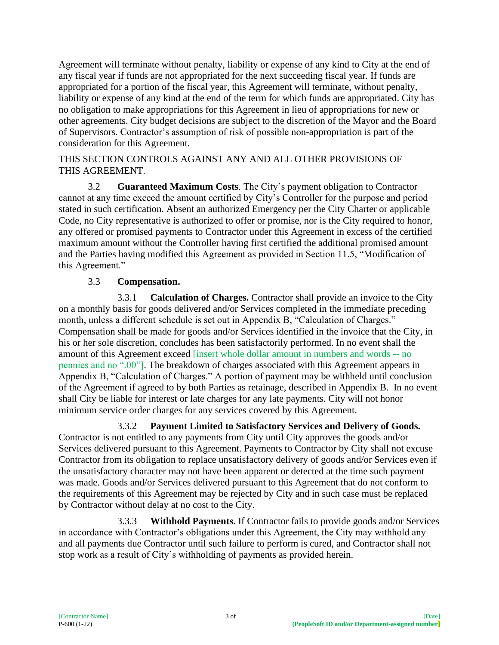Agreement will terminate without penalty, liability or expense of any kind to City at the end of any fiscal year if funds are not appropriated for the next succeeding fiscal year. If funds are appropriated for a portion of the fiscal year, this Agreement will terminate, without penalty, liability or expense of any kind at the end of the term for which funds are appropriated. City has no obligation to make appropriations for this Agreement in lieu of appropriations for new or other agreements. City budget decisions are subject to the discretion of the Mayor and the Board of Supervisors. Contractor's assumption of risk of possible non-appropriation is part of the consideration for this Agreement.

#### THIS SECTION CONTROLS AGAINST ANY AND ALL OTHER PROVISIONS OF THIS AGREEMENT.

3.2 **Guaranteed Maximum Costs**. The City's payment obligation to Contractor cannot at any time exceed the amount certified by City's Controller for the purpose and period stated in such certification. Absent an authorized Emergency per the City Charter or applicable Code, no City representative is authorized to offer or promise, nor is the City required to honor, any offered or promised payments to Contractor under this Agreement in excess of the certified maximum amount without the Controller having first certified the additional promised amount and the Parties having modified this Agreement as provided in Section 11.5, "Modification of this Agreement."

## 3.3 **Compensation.**

3.3.1 **Calculation of Charges.** Contractor shall provide an invoice to the City on a monthly basis for goods delivered and/or Services completed in the immediate preceding month, unless a different schedule is set out in Appendix B, "Calculation of Charges." Compensation shall be made for goods and/or Services identified in the invoice that the City, in his or her sole discretion, concludes has been satisfactorily performed. In no event shall the amount of this Agreement exceed [insert whole dollar amount in numbers and words -- no pennies and no ".00"]. The breakdown of charges associated with this Agreement appears in Appendix B, "Calculation of Charges." A portion of payment may be withheld until conclusion of the Agreement if agreed to by both Parties as retainage, described in Appendix B. In no event shall City be liable for interest or late charges for any late payments. City will not honor minimum service order charges for any services covered by this Agreement.

3.3.2 **Payment Limited to Satisfactory Services and Delivery of Goods.** Contractor is not entitled to any payments from City until City approves the goods and/or Services delivered pursuant to this Agreement. Payments to Contractor by City shall not excuse Contractor from its obligation to replace unsatisfactory delivery of goods and/or Services even if the unsatisfactory character may not have been apparent or detected at the time such payment was made. Goods and/or Services delivered pursuant to this Agreement that do not conform to the requirements of this Agreement may be rejected by City and in such case must be replaced by Contractor without delay at no cost to the City.

3.3.3 **Withhold Payments.** If Contractor fails to provide goods and/or Services in accordance with Contractor's obligations under this Agreement, the City may withhold any and all payments due Contractor until such failure to perform is cured, and Contractor shall not stop work as a result of City's withholding of payments as provided herein.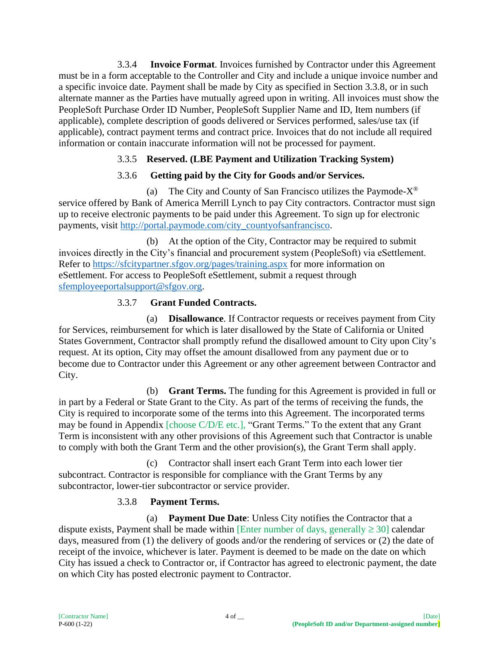3.3.4 **Invoice Format**. Invoices furnished by Contractor under this Agreement must be in a form acceptable to the Controller and City and include a unique invoice number and a specific invoice date. Payment shall be made by City as specified in Section 3.3.8, or in such alternate manner as the Parties have mutually agreed upon in writing. All invoices must show the PeopleSoft Purchase Order ID Number, PeopleSoft Supplier Name and ID, Item numbers (if applicable), complete description of goods delivered or Services performed, sales/use tax (if applicable), contract payment terms and contract price. Invoices that do not include all required information or contain inaccurate information will not be processed for payment.

## 3.3.5 **Reserved. (LBE Payment and Utilization Tracking System)**

## 3.3.6 **Getting paid by the City for Goods and/or Services.**

(a) The City and County of San Francisco utilizes the Paymode- $X^{\circledast}$ service offered by Bank of America Merrill Lynch to pay City contractors. Contractor must sign up to receive electronic payments to be paid under this Agreement. To sign up for electronic payments, visit [http://portal.paymode.com/city\\_countyofsanfrancisco.](http://portal.paymode.com/city_countyofsanfrancisco)

(b) At the option of the City, Contractor may be required to submit invoices directly in the City's financial and procurement system (PeopleSoft) via eSettlement. Refer to<https://sfcitypartner.sfgov.org/pages/training.aspx> for more information on eSettlement. For access to PeopleSoft eSettlement, submit a request through [sfemployeeportalsupport@sfgov.org.](mailto:sfemployeeportalsupport@sfgov.org)

## 3.3.7 **Grant Funded Contracts.**

(a) **Disallowance**. If Contractor requests or receives payment from City for Services, reimbursement for which is later disallowed by the State of California or United States Government, Contractor shall promptly refund the disallowed amount to City upon City's request. At its option, City may offset the amount disallowed from any payment due or to become due to Contractor under this Agreement or any other agreement between Contractor and City.

(b) **Grant Terms.** The funding for this Agreement is provided in full or in part by a Federal or State Grant to the City. As part of the terms of receiving the funds, the City is required to incorporate some of the terms into this Agreement. The incorporated terms may be found in Appendix [choose C/D/E etc.], "Grant Terms." To the extent that any Grant Term is inconsistent with any other provisions of this Agreement such that Contractor is unable to comply with both the Grant Term and the other provision(s), the Grant Term shall apply.

(c) Contractor shall insert each Grant Term into each lower tier subcontract. Contractor is responsible for compliance with the Grant Terms by any subcontractor, lower-tier subcontractor or service provider.

# 3.3.8 **Payment Terms.**

(a) **Payment Due Date**: Unless City notifies the Contractor that a dispute exists, Payment shall be made within [Enter number of days, generally  $\geq$  30] calendar days, measured from (1) the delivery of goods and/or the rendering of services or (2) the date of receipt of the invoice, whichever is later. Payment is deemed to be made on the date on which City has issued a check to Contractor or, if Contractor has agreed to electronic payment, the date on which City has posted electronic payment to Contractor.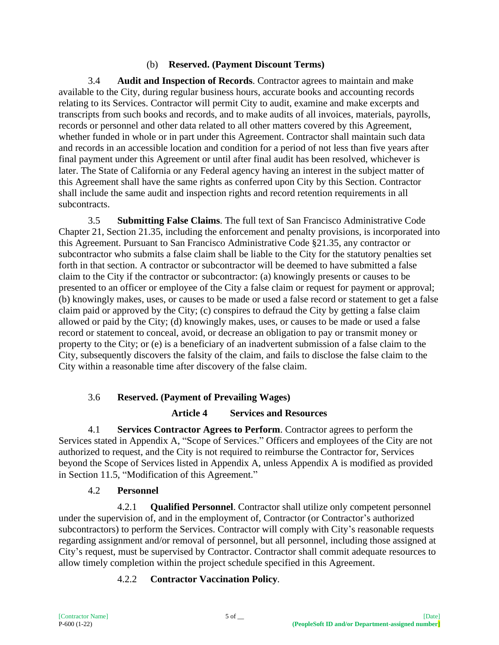#### (b) **Reserved. (Payment Discount Terms)**

3.4 **Audit and Inspection of Records**. Contractor agrees to maintain and make available to the City, during regular business hours, accurate books and accounting records relating to its Services. Contractor will permit City to audit, examine and make excerpts and transcripts from such books and records, and to make audits of all invoices, materials, payrolls, records or personnel and other data related to all other matters covered by this Agreement, whether funded in whole or in part under this Agreement. Contractor shall maintain such data and records in an accessible location and condition for a period of not less than five years after final payment under this Agreement or until after final audit has been resolved, whichever is later. The State of California or any Federal agency having an interest in the subject matter of this Agreement shall have the same rights as conferred upon City by this Section. Contractor shall include the same audit and inspection rights and record retention requirements in all subcontracts.

3.5 **Submitting False Claims**. The full text of San Francisco Administrative Code Chapter 21, Section 21.35, including the enforcement and penalty provisions, is incorporated into this Agreement. Pursuant to San Francisco Administrative Code §21.35, any contractor or subcontractor who submits a false claim shall be liable to the City for the statutory penalties set forth in that section. A contractor or subcontractor will be deemed to have submitted a false claim to the City if the contractor or subcontractor: (a) knowingly presents or causes to be presented to an officer or employee of the City a false claim or request for payment or approval; (b) knowingly makes, uses, or causes to be made or used a false record or statement to get a false claim paid or approved by the City; (c) conspires to defraud the City by getting a false claim allowed or paid by the City; (d) knowingly makes, uses, or causes to be made or used a false record or statement to conceal, avoid, or decrease an obligation to pay or transmit money or property to the City; or (e) is a beneficiary of an inadvertent submission of a false claim to the City, subsequently discovers the falsity of the claim, and fails to disclose the false claim to the City within a reasonable time after discovery of the false claim.

### 3.6 **Reserved. (Payment of Prevailing Wages)**

#### **Article 4 Services and Resources**

4.1 **Services Contractor Agrees to Perform**. Contractor agrees to perform the Services stated in Appendix A, "Scope of Services." Officers and employees of the City are not authorized to request, and the City is not required to reimburse the Contractor for, Services beyond the Scope of Services listed in Appendix A, unless Appendix A is modified as provided in Section 11.5, "Modification of this Agreement."

#### 4.2 **Personnel**

4.2.1 **Qualified Personnel**. Contractor shall utilize only competent personnel under the supervision of, and in the employment of, Contractor (or Contractor's authorized subcontractors) to perform the Services. Contractor will comply with City's reasonable requests regarding assignment and/or removal of personnel, but all personnel, including those assigned at City's request, must be supervised by Contractor. Contractor shall commit adequate resources to allow timely completion within the project schedule specified in this Agreement.

### 4.2.2 **Contractor Vaccination Policy***.*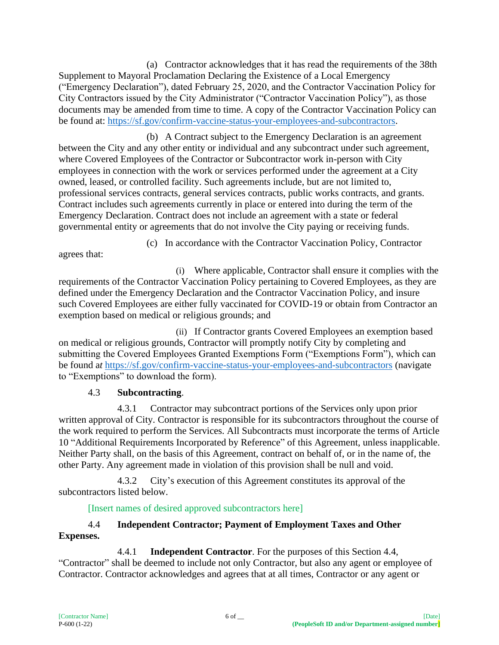(a) Contractor acknowledges that it has read the requirements of the 38th Supplement to Mayoral Proclamation Declaring the Existence of a Local Emergency ("Emergency Declaration"), dated February 25, 2020, and the Contractor Vaccination Policy for City Contractors issued by the City Administrator ("Contractor Vaccination Policy"), as those documents may be amended from time to time. A copy of the Contractor Vaccination Policy can be found at: [https://sf.gov/confirm-vaccine-status-your-employees-and-subcontractors.](https://avanan.url-protection.com/v1/url?o=https%3A//sf.gov/confirm-vaccine-status-your-employees-and-subcontractors&g=OWIxNDc4YWQzMDQxMzg4ZQ==&h=MDRiODZhMWNmMzNiZGU5MzY2ODQ2M2ZjYTY0M2FhNzQ1Mjg0OGNhZGY5NmFmNDYzZDYyYmU1YWIyY2Y5ODczNg==&p=YXAzOnNmZHQyOmE6bzoyNTk3ZTVmZmRiZjY3NTJhOTJiZTVhOGQyMDc4ZmM0Nzp2MTpoOk4=)

(b) A Contract subject to the Emergency Declaration is an agreement between the City and any other entity or individual and any subcontract under such agreement, where Covered Employees of the Contractor or Subcontractor work in-person with City employees in connection with the work or services performed under the agreement at a City owned, leased, or controlled facility. Such agreements include, but are not limited to, professional services contracts, general services contracts, public works contracts, and grants. Contract includes such agreements currently in place or entered into during the term of the Emergency Declaration. Contract does not include an agreement with a state or federal governmental entity or agreements that do not involve the City paying or receiving funds.

(c) In accordance with the Contractor Vaccination Policy, Contractor

agrees that:

(i) Where applicable, Contractor shall ensure it complies with the requirements of the [Contractor Vaccination Policy](https://sf.gov/confirm-vaccine-status-your-employees-and-subcontractors) pertaining to Covered Employees, as they are defined under the Emergency Declaration and the Contractor Vaccination Policy, and insure such Covered Employees are either fully vaccinated for COVID-19 or obtain from Contractor an exemption based on medical or religious grounds; and

(ii) If Contractor grants Covered Employees an exemption based on medical or religious grounds, Contractor will promptly notify City by completing and submitting the Covered Employees Granted Exemptions Form ("Exemptions Form"), which can be found a*t* [https://sf.gov/confirm-vaccine-status-your-employees-and-subcontractors](https://avanan.url-protection.com/v1/url?o=https%3A//sf.gov/confirm-vaccine-status-your-employees-and-subcontractors&g=NjExODhhMmE5ZmUyNmI4ZQ==&h=MGFhZTdjMzVlYzBhYTAwODNjMDljYjI3MGExYmM5OTE4YmYwZmFmOTgxZjZmMGU3MTI1NmE3YzUyMDQ0YTczNA==&p=YXAzOnNmZHQyOmE6bzoyNTk3ZTVmZmRiZjY3NTJhOTJiZTVhOGQyMDc4ZmM0Nzp2MTpoOk4=) (navigate to "Exemptions" to download the form).

# 4.3 **Subcontracting**.

4.3.1 Contractor may subcontract portions of the Services only upon prior written approval of City. Contractor is responsible for its subcontractors throughout the course of the work required to perform the Services. All Subcontracts must incorporate the terms of Article 10 "Additional Requirements Incorporated by Reference" of this Agreement, unless inapplicable. Neither Party shall, on the basis of this Agreement, contract on behalf of, or in the name of, the other Party. Any agreement made in violation of this provision shall be null and void.

4.3.2 City's execution of this Agreement constitutes its approval of the subcontractors listed below.

[Insert names of desired approved subcontractors here]

## 4.4 **Independent Contractor; Payment of Employment Taxes and Other Expenses.**

4.4.1 **Independent Contractor**. For the purposes of this Section 4.4, "Contractor" shall be deemed to include not only Contractor, but also any agent or employee of Contractor. Contractor acknowledges and agrees that at all times, Contractor or any agent or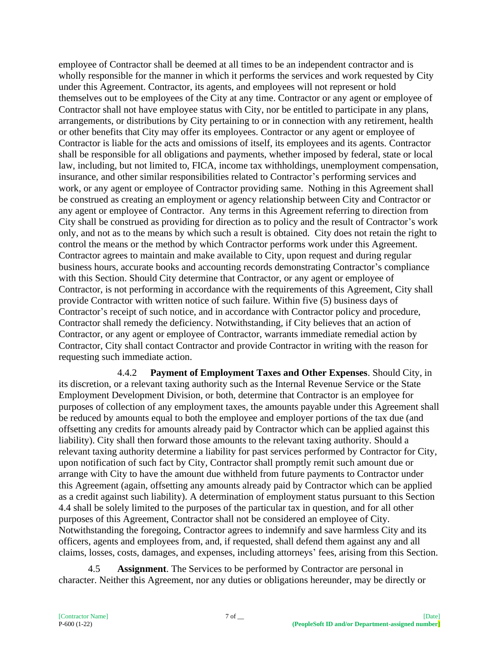employee of Contractor shall be deemed at all times to be an independent contractor and is wholly responsible for the manner in which it performs the services and work requested by City under this Agreement. Contractor, its agents, and employees will not represent or hold themselves out to be employees of the City at any time. Contractor or any agent or employee of Contractor shall not have employee status with City, nor be entitled to participate in any plans, arrangements, or distributions by City pertaining to or in connection with any retirement, health or other benefits that City may offer its employees. Contractor or any agent or employee of Contractor is liable for the acts and omissions of itself, its employees and its agents. Contractor shall be responsible for all obligations and payments, whether imposed by federal, state or local law, including, but not limited to, FICA, income tax withholdings, unemployment compensation, insurance, and other similar responsibilities related to Contractor's performing services and work, or any agent or employee of Contractor providing same. Nothing in this Agreement shall be construed as creating an employment or agency relationship between City and Contractor or any agent or employee of Contractor. Any terms in this Agreement referring to direction from City shall be construed as providing for direction as to policy and the result of Contractor's work only, and not as to the means by which such a result is obtained. City does not retain the right to control the means or the method by which Contractor performs work under this Agreement. Contractor agrees to maintain and make available to City, upon request and during regular business hours, accurate books and accounting records demonstrating Contractor's compliance with this Section. Should City determine that Contractor, or any agent or employee of Contractor, is not performing in accordance with the requirements of this Agreement, City shall provide Contractor with written notice of such failure. Within five (5) business days of Contractor's receipt of such notice, and in accordance with Contractor policy and procedure, Contractor shall remedy the deficiency. Notwithstanding, if City believes that an action of Contractor, or any agent or employee of Contractor, warrants immediate remedial action by Contractor, City shall contact Contractor and provide Contractor in writing with the reason for requesting such immediate action.

4.4.2 **Payment of Employment Taxes and Other Expenses**. Should City, in its discretion, or a relevant taxing authority such as the Internal Revenue Service or the State Employment Development Division, or both, determine that Contractor is an employee for purposes of collection of any employment taxes, the amounts payable under this Agreement shall be reduced by amounts equal to both the employee and employer portions of the tax due (and offsetting any credits for amounts already paid by Contractor which can be applied against this liability). City shall then forward those amounts to the relevant taxing authority. Should a relevant taxing authority determine a liability for past services performed by Contractor for City, upon notification of such fact by City, Contractor shall promptly remit such amount due or arrange with City to have the amount due withheld from future payments to Contractor under this Agreement (again, offsetting any amounts already paid by Contractor which can be applied as a credit against such liability). A determination of employment status pursuant to this Section 4.4 shall be solely limited to the purposes of the particular tax in question, and for all other purposes of this Agreement, Contractor shall not be considered an employee of City. Notwithstanding the foregoing, Contractor agrees to indemnify and save harmless City and its officers, agents and employees from, and, if requested, shall defend them against any and all claims, losses, costs, damages, and expenses, including attorneys' fees, arising from this Section.

4.5 **Assignment**. The Services to be performed by Contractor are personal in character. Neither this Agreement, nor any duties or obligations hereunder, may be directly or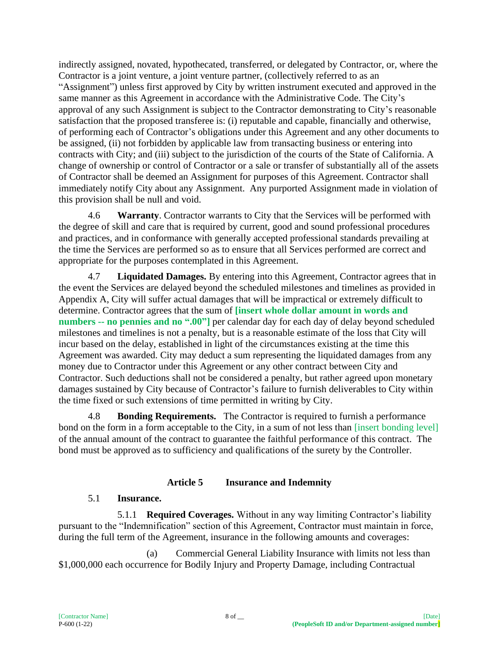indirectly assigned, novated, hypothecated, transferred, or delegated by Contractor, or, where the Contractor is a joint venture, a joint venture partner, (collectively referred to as an "Assignment") unless first approved by City by written instrument executed and approved in the same manner as this Agreement in accordance with the Administrative Code. The City's approval of any such Assignment is subject to the Contractor demonstrating to City's reasonable satisfaction that the proposed transferee is: (i) reputable and capable, financially and otherwise, of performing each of Contractor's obligations under this Agreement and any other documents to be assigned, (ii) not forbidden by applicable law from transacting business or entering into contracts with City; and (iii) subject to the jurisdiction of the courts of the State of California. A change of ownership or control of Contractor or a sale or transfer of substantially all of the assets of Contractor shall be deemed an Assignment for purposes of this Agreement. Contractor shall immediately notify City about any Assignment. Any purported Assignment made in violation of this provision shall be null and void.

4.6 **Warranty**. Contractor warrants to City that the Services will be performed with the degree of skill and care that is required by current, good and sound professional procedures and practices, and in conformance with generally accepted professional standards prevailing at the time the Services are performed so as to ensure that all Services performed are correct and appropriate for the purposes contemplated in this Agreement.

4.7 **Liquidated Damages.** By entering into this Agreement, Contractor agrees that in the event the Services are delayed beyond the scheduled milestones and timelines as provided in Appendix A, City will suffer actual damages that will be impractical or extremely difficult to determine. Contractor agrees that the sum of **[insert whole dollar amount in words and numbers -- no pennies and no ".00"]** per calendar day for each day of delay beyond scheduled milestones and timelines is not a penalty, but is a reasonable estimate of the loss that City will incur based on the delay, established in light of the circumstances existing at the time this Agreement was awarded. City may deduct a sum representing the liquidated damages from any money due to Contractor under this Agreement or any other contract between City and Contractor. Such deductions shall not be considered a penalty, but rather agreed upon monetary damages sustained by City because of Contractor's failure to furnish deliverables to City within the time fixed or such extensions of time permitted in writing by City.

4.8 **Bonding Requirements.** The Contractor is required to furnish a performance bond on the form in a form acceptable to the City, in a sum of not less than [insert bonding level] of the annual amount of the contract to guarantee the faithful performance of this contract. The bond must be approved as to sufficiency and qualifications of the surety by the Controller.

### **Article 5 Insurance and Indemnity**

# 5.1 **Insurance.**

5.1.1 **Required Coverages.** Without in any way limiting Contractor's liability pursuant to the "Indemnification" section of this Agreement, Contractor must maintain in force, during the full term of the Agreement, insurance in the following amounts and coverages:

(a) Commercial General Liability Insurance with limits not less than \$1,000,000 each occurrence for Bodily Injury and Property Damage, including Contractual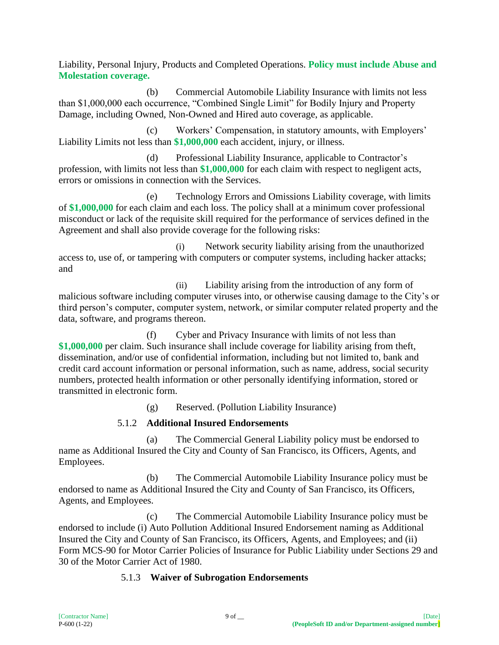Liability, Personal Injury, Products and Completed Operations. **Policy must include Abuse and Molestation coverage.** 

(b) Commercial Automobile Liability Insurance with limits not less than \$1,000,000 each occurrence, "Combined Single Limit" for Bodily Injury and Property Damage, including Owned, Non-Owned and Hired auto coverage, as applicable.

(c) Workers' Compensation, in statutory amounts, with Employers' Liability Limits not less than **\$1,000,000** each accident, injury, or illness.

(d) Professional Liability Insurance, applicable to Contractor's profession, with limits not less than **\$1,000,000** for each claim with respect to negligent acts, errors or omissions in connection with the Services.

(e) Technology Errors and Omissions Liability coverage, with limits of **\$1,000,000** for each claim and each loss. The policy shall at a minimum cover professional misconduct or lack of the requisite skill required for the performance of services defined in the Agreement and shall also provide coverage for the following risks:

(i) Network security liability arising from the unauthorized access to, use of, or tampering with computers or computer systems, including hacker attacks; and

(ii) Liability arising from the introduction of any form of malicious software including computer viruses into, or otherwise causing damage to the City's or third person's computer, computer system, network, or similar computer related property and the data, software, and programs thereon.

(f) Cyber and Privacy Insurance with limits of not less than **\$1,000,000** per claim. Such insurance shall include coverage for liability arising from theft, dissemination, and/or use of confidential information, including but not limited to, bank and credit card account information or personal information, such as name, address, social security numbers, protected health information or other personally identifying information, stored or transmitted in electronic form.

(g) Reserved. (Pollution Liability Insurance)

### 5.1.2 **Additional Insured Endorsements**

(a) The Commercial General Liability policy must be endorsed to name as Additional Insured the City and County of San Francisco, its Officers, Agents, and Employees.

(b) The Commercial Automobile Liability Insurance policy must be endorsed to name as Additional Insured the City and County of San Francisco, its Officers, Agents, and Employees.

(c) The Commercial Automobile Liability Insurance policy must be endorsed to include (i) Auto Pollution Additional Insured Endorsement naming as Additional Insured the City and County of San Francisco, its Officers, Agents, and Employees; and (ii) Form MCS-90 for Motor Carrier Policies of Insurance for Public Liability under Sections 29 and 30 of the Motor Carrier Act of 1980.

### 5.1.3 **Waiver of Subrogation Endorsements**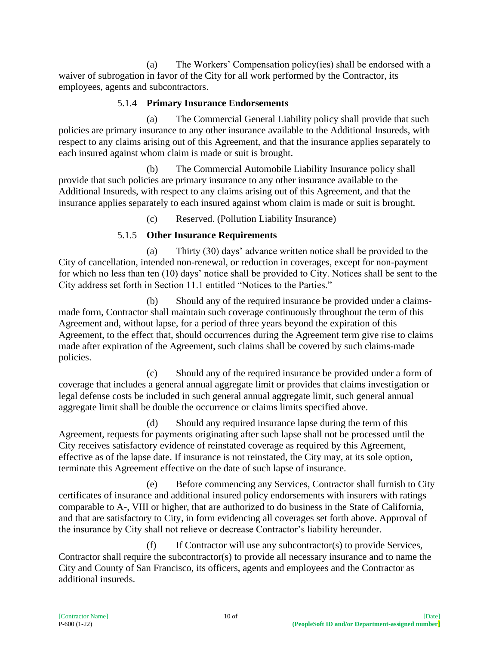(a) The Workers' Compensation policy(ies) shall be endorsed with a waiver of subrogation in favor of the City for all work performed by the Contractor, its employees, agents and subcontractors.

#### 5.1.4 **Primary Insurance Endorsements**

(a) The Commercial General Liability policy shall provide that such policies are primary insurance to any other insurance available to the Additional Insureds, with respect to any claims arising out of this Agreement, and that the insurance applies separately to each insured against whom claim is made or suit is brought.

(b) The Commercial Automobile Liability Insurance policy shall provide that such policies are primary insurance to any other insurance available to the Additional Insureds, with respect to any claims arising out of this Agreement, and that the insurance applies separately to each insured against whom claim is made or suit is brought.

(c) Reserved. (Pollution Liability Insurance)

### 5.1.5 **Other Insurance Requirements**

(a) Thirty (30) days' advance written notice shall be provided to the City of cancellation, intended non-renewal, or reduction in coverages, except for non-payment for which no less than ten (10) days' notice shall be provided to City. Notices shall be sent to the City address set forth in Section 11.1 entitled "Notices to the Parties."

(b) Should any of the required insurance be provided under a claimsmade form, Contractor shall maintain such coverage continuously throughout the term of this Agreement and, without lapse, for a period of three years beyond the expiration of this Agreement, to the effect that, should occurrences during the Agreement term give rise to claims made after expiration of the Agreement, such claims shall be covered by such claims-made policies.

(c) Should any of the required insurance be provided under a form of coverage that includes a general annual aggregate limit or provides that claims investigation or legal defense costs be included in such general annual aggregate limit, such general annual aggregate limit shall be double the occurrence or claims limits specified above.

(d) Should any required insurance lapse during the term of this Agreement, requests for payments originating after such lapse shall not be processed until the City receives satisfactory evidence of reinstated coverage as required by this Agreement, effective as of the lapse date. If insurance is not reinstated, the City may, at its sole option, terminate this Agreement effective on the date of such lapse of insurance.

(e) Before commencing any Services, Contractor shall furnish to City certificates of insurance and additional insured policy endorsements with insurers with ratings comparable to A-, VIII or higher, that are authorized to do business in the State of California, and that are satisfactory to City, in form evidencing all coverages set forth above. Approval of the insurance by City shall not relieve or decrease Contractor's liability hereunder.

(f) If Contractor will use any subcontractor(s) to provide Services, Contractor shall require the subcontractor(s) to provide all necessary insurance and to name the City and County of San Francisco, its officers, agents and employees and the Contractor as additional insureds.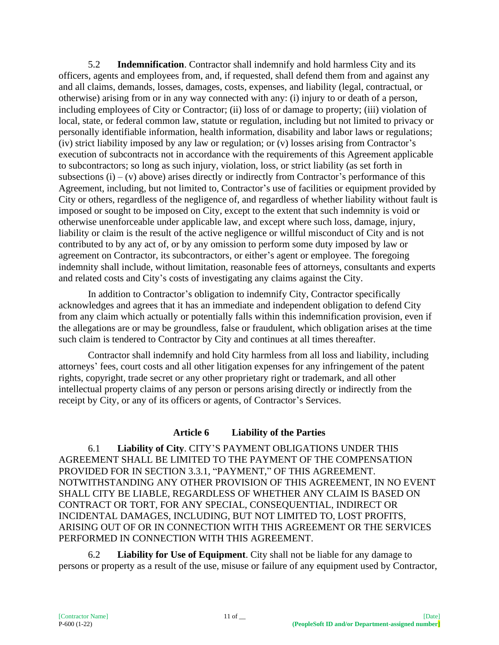5.2 **Indemnification**. Contractor shall indemnify and hold harmless City and its officers, agents and employees from, and, if requested, shall defend them from and against any and all claims, demands, losses, damages, costs, expenses, and liability (legal, contractual, or otherwise) arising from or in any way connected with any: (i) injury to or death of a person, including employees of City or Contractor; (ii) loss of or damage to property; (iii) violation of local, state, or federal common law, statute or regulation, including but not limited to privacy or personally identifiable information, health information, disability and labor laws or regulations; (iv) strict liability imposed by any law or regulation; or (v) losses arising from Contractor's execution of subcontracts not in accordance with the requirements of this Agreement applicable to subcontractors; so long as such injury, violation, loss, or strict liability (as set forth in subsections  $(i) - (v)$  above) arises directly or indirectly from Contractor's performance of this Agreement, including, but not limited to, Contractor's use of facilities or equipment provided by City or others, regardless of the negligence of, and regardless of whether liability without fault is imposed or sought to be imposed on City, except to the extent that such indemnity is void or otherwise unenforceable under applicable law, and except where such loss, damage, injury, liability or claim is the result of the active negligence or willful misconduct of City and is not contributed to by any act of, or by any omission to perform some duty imposed by law or agreement on Contractor, its subcontractors, or either's agent or employee. The foregoing indemnity shall include, without limitation, reasonable fees of attorneys, consultants and experts and related costs and City's costs of investigating any claims against the City.

In addition to Contractor's obligation to indemnify City, Contractor specifically acknowledges and agrees that it has an immediate and independent obligation to defend City from any claim which actually or potentially falls within this indemnification provision, even if the allegations are or may be groundless, false or fraudulent, which obligation arises at the time such claim is tendered to Contractor by City and continues at all times thereafter.

Contractor shall indemnify and hold City harmless from all loss and liability, including attorneys' fees, court costs and all other litigation expenses for any infringement of the patent rights, copyright, trade secret or any other proprietary right or trademark, and all other intellectual property claims of any person or persons arising directly or indirectly from the receipt by City, or any of its officers or agents, of Contractor's Services.

### **Article 6 Liability of the Parties**

6.1 **Liability of City**. CITY'S PAYMENT OBLIGATIONS UNDER THIS AGREEMENT SHALL BE LIMITED TO THE PAYMENT OF THE COMPENSATION PROVIDED FOR IN SECTION 3.3.1, "PAYMENT," OF THIS AGREEMENT. NOTWITHSTANDING ANY OTHER PROVISION OF THIS AGREEMENT, IN NO EVENT SHALL CITY BE LIABLE, REGARDLESS OF WHETHER ANY CLAIM IS BASED ON CONTRACT OR TORT, FOR ANY SPECIAL, CONSEQUENTIAL, INDIRECT OR INCIDENTAL DAMAGES, INCLUDING, BUT NOT LIMITED TO, LOST PROFITS, ARISING OUT OF OR IN CONNECTION WITH THIS AGREEMENT OR THE SERVICES PERFORMED IN CONNECTION WITH THIS AGREEMENT.

6.2 **Liability for Use of Equipment**. City shall not be liable for any damage to persons or property as a result of the use, misuse or failure of any equipment used by Contractor,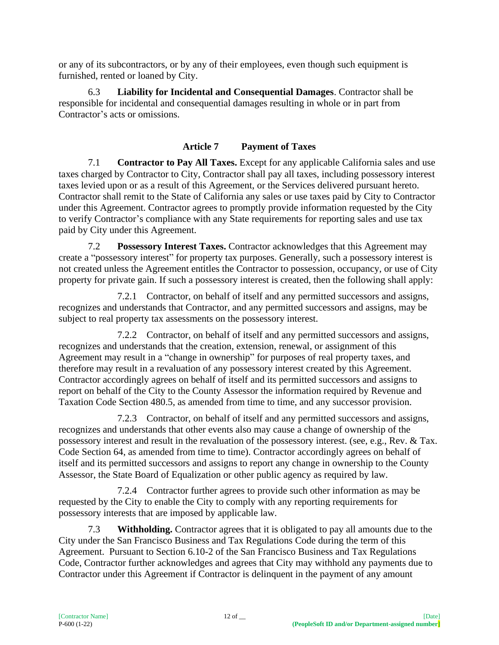or any of its subcontractors, or by any of their employees, even though such equipment is furnished, rented or loaned by City.

6.3 **Liability for Incidental and Consequential Damages**. Contractor shall be responsible for incidental and consequential damages resulting in whole or in part from Contractor's acts or omissions.

### **Article 7 Payment of Taxes**

7.1 **Contractor to Pay All Taxes.** Except for any applicable California sales and use taxes charged by Contractor to City, Contractor shall pay all taxes, including possessory interest taxes levied upon or as a result of this Agreement, or the Services delivered pursuant hereto. Contractor shall remit to the State of California any sales or use taxes paid by City to Contractor under this Agreement. Contractor agrees to promptly provide information requested by the City to verify Contractor's compliance with any State requirements for reporting sales and use tax paid by City under this Agreement.

7.2 **Possessory Interest Taxes.** Contractor acknowledges that this Agreement may create a "possessory interest" for property tax purposes. Generally, such a possessory interest is not created unless the Agreement entitles the Contractor to possession, occupancy, or use of City property for private gain. If such a possessory interest is created, then the following shall apply:

7.2.1 Contractor, on behalf of itself and any permitted successors and assigns, recognizes and understands that Contractor, and any permitted successors and assigns, may be subject to real property tax assessments on the possessory interest.

7.2.2 Contractor, on behalf of itself and any permitted successors and assigns, recognizes and understands that the creation, extension, renewal, or assignment of this Agreement may result in a "change in ownership" for purposes of real property taxes, and therefore may result in a revaluation of any possessory interest created by this Agreement. Contractor accordingly agrees on behalf of itself and its permitted successors and assigns to report on behalf of the City to the County Assessor the information required by Revenue and Taxation Code Section 480.5, as amended from time to time, and any successor provision.

7.2.3 Contractor, on behalf of itself and any permitted successors and assigns, recognizes and understands that other events also may cause a change of ownership of the possessory interest and result in the revaluation of the possessory interest. (see, e.g., Rev. & Tax. Code Section 64, as amended from time to time). Contractor accordingly agrees on behalf of itself and its permitted successors and assigns to report any change in ownership to the County Assessor, the State Board of Equalization or other public agency as required by law.

7.2.4 Contractor further agrees to provide such other information as may be requested by the City to enable the City to comply with any reporting requirements for possessory interests that are imposed by applicable law.

7.3 **Withholding.** Contractor agrees that it is obligated to pay all amounts due to the City under the San Francisco Business and Tax Regulations Code during the term of this Agreement. Pursuant to Section 6.10-2 of the San Francisco Business and Tax Regulations Code, Contractor further acknowledges and agrees that City may withhold any payments due to Contractor under this Agreement if Contractor is delinquent in the payment of any amount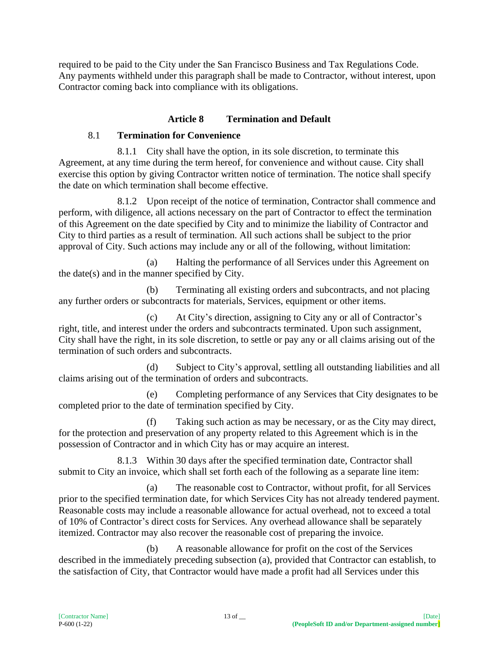required to be paid to the City under the San Francisco Business and Tax Regulations Code. Any payments withheld under this paragraph shall be made to Contractor, without interest, upon Contractor coming back into compliance with its obligations.

### **Article 8 Termination and Default**

#### 8.1 **Termination for Convenience**

8.1.1 City shall have the option, in its sole discretion, to terminate this Agreement, at any time during the term hereof, for convenience and without cause. City shall exercise this option by giving Contractor written notice of termination. The notice shall specify the date on which termination shall become effective.

8.1.2 Upon receipt of the notice of termination, Contractor shall commence and perform, with diligence, all actions necessary on the part of Contractor to effect the termination of this Agreement on the date specified by City and to minimize the liability of Contractor and City to third parties as a result of termination. All such actions shall be subject to the prior approval of City. Such actions may include any or all of the following, without limitation:

(a) Halting the performance of all Services under this Agreement on the date(s) and in the manner specified by City.

(b) Terminating all existing orders and subcontracts, and not placing any further orders or subcontracts for materials, Services, equipment or other items.

(c) At City's direction, assigning to City any or all of Contractor's right, title, and interest under the orders and subcontracts terminated. Upon such assignment, City shall have the right, in its sole discretion, to settle or pay any or all claims arising out of the termination of such orders and subcontracts.

(d) Subject to City's approval, settling all outstanding liabilities and all claims arising out of the termination of orders and subcontracts.

(e) Completing performance of any Services that City designates to be completed prior to the date of termination specified by City.

(f) Taking such action as may be necessary, or as the City may direct, for the protection and preservation of any property related to this Agreement which is in the possession of Contractor and in which City has or may acquire an interest.

8.1.3 Within 30 days after the specified termination date, Contractor shall submit to City an invoice, which shall set forth each of the following as a separate line item:

(a) The reasonable cost to Contractor, without profit, for all Services prior to the specified termination date, for which Services City has not already tendered payment. Reasonable costs may include a reasonable allowance for actual overhead, not to exceed a total of 10% of Contractor's direct costs for Services. Any overhead allowance shall be separately itemized. Contractor may also recover the reasonable cost of preparing the invoice.

(b) A reasonable allowance for profit on the cost of the Services described in the immediately preceding subsection (a), provided that Contractor can establish, to the satisfaction of City, that Contractor would have made a profit had all Services under this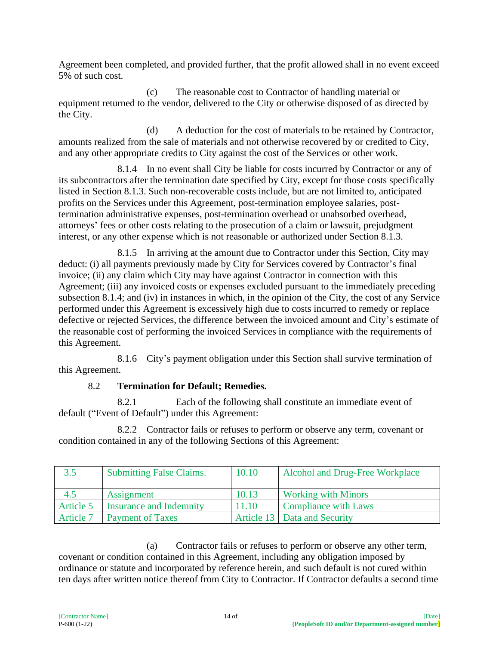Agreement been completed, and provided further, that the profit allowed shall in no event exceed 5% of such cost.

(c) The reasonable cost to Contractor of handling material or equipment returned to the vendor, delivered to the City or otherwise disposed of as directed by the City.

(d) A deduction for the cost of materials to be retained by Contractor, amounts realized from the sale of materials and not otherwise recovered by or credited to City, and any other appropriate credits to City against the cost of the Services or other work.

8.1.4 In no event shall City be liable for costs incurred by Contractor or any of its subcontractors after the termination date specified by City, except for those costs specifically listed in Section 8.1.3. Such non-recoverable costs include, but are not limited to, anticipated profits on the Services under this Agreement, post-termination employee salaries, posttermination administrative expenses, post-termination overhead or unabsorbed overhead, attorneys' fees or other costs relating to the prosecution of a claim or lawsuit, prejudgment interest, or any other expense which is not reasonable or authorized under Section 8.1.3.

8.1.5 In arriving at the amount due to Contractor under this Section, City may deduct: (i) all payments previously made by City for Services covered by Contractor's final invoice; (ii) any claim which City may have against Contractor in connection with this Agreement; (iii) any invoiced costs or expenses excluded pursuant to the immediately preceding subsection 8.1.4; and (iv) in instances in which, in the opinion of the City, the cost of any Service performed under this Agreement is excessively high due to costs incurred to remedy or replace defective or rejected Services, the difference between the invoiced amount and City's estimate of the reasonable cost of performing the invoiced Services in compliance with the requirements of this Agreement.

8.1.6 City's payment obligation under this Section shall survive termination of this Agreement.

### 8.2 **Termination for Default; Remedies.**

8.2.1 Each of the following shall constitute an immediate event of default ("Event of Default") under this Agreement:

8.2.2 Contractor fails or refuses to perform or observe any term, covenant or condition contained in any of the following Sections of this Agreement:

| 3.5       | <b>Submitting False Claims.</b> | 10.10 | Alcohol and Drug-Free Workplace |
|-----------|---------------------------------|-------|---------------------------------|
| 4.5       | Assignment                      | 10.13 | <b>Working with Minors</b>      |
| Article 5 | Insurance and Indemnity         | 11.10 | Compliance with Laws            |
| Article 7 | <b>Payment of Taxes</b>         |       | Article 13   Data and Security  |

(a) Contractor fails or refuses to perform or observe any other term, covenant or condition contained in this Agreement, including any obligation imposed by ordinance or statute and incorporated by reference herein, and such default is not cured within ten days after written notice thereof from City to Contractor. If Contractor defaults a second time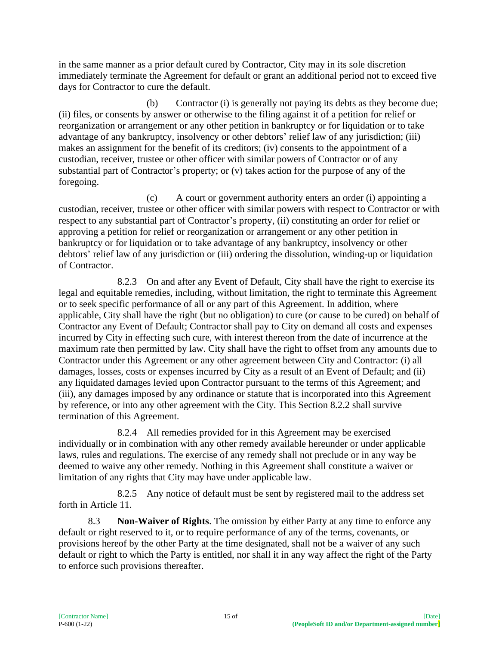in the same manner as a prior default cured by Contractor, City may in its sole discretion immediately terminate the Agreement for default or grant an additional period not to exceed five days for Contractor to cure the default.

(b) Contractor (i) is generally not paying its debts as they become due; (ii) files, or consents by answer or otherwise to the filing against it of a petition for relief or reorganization or arrangement or any other petition in bankruptcy or for liquidation or to take advantage of any bankruptcy, insolvency or other debtors' relief law of any jurisdiction; (iii) makes an assignment for the benefit of its creditors; (iv) consents to the appointment of a custodian, receiver, trustee or other officer with similar powers of Contractor or of any substantial part of Contractor's property; or (v) takes action for the purpose of any of the foregoing.

(c) A court or government authority enters an order (i) appointing a custodian, receiver, trustee or other officer with similar powers with respect to Contractor or with respect to any substantial part of Contractor's property, (ii) constituting an order for relief or approving a petition for relief or reorganization or arrangement or any other petition in bankruptcy or for liquidation or to take advantage of any bankruptcy, insolvency or other debtors' relief law of any jurisdiction or (iii) ordering the dissolution, winding-up or liquidation of Contractor.

8.2.3 On and after any Event of Default, City shall have the right to exercise its legal and equitable remedies, including, without limitation, the right to terminate this Agreement or to seek specific performance of all or any part of this Agreement. In addition, where applicable, City shall have the right (but no obligation) to cure (or cause to be cured) on behalf of Contractor any Event of Default; Contractor shall pay to City on demand all costs and expenses incurred by City in effecting such cure, with interest thereon from the date of incurrence at the maximum rate then permitted by law. City shall have the right to offset from any amounts due to Contractor under this Agreement or any other agreement between City and Contractor: (i) all damages, losses, costs or expenses incurred by City as a result of an Event of Default; and (ii) any liquidated damages levied upon Contractor pursuant to the terms of this Agreement; and (iii), any damages imposed by any ordinance or statute that is incorporated into this Agreement by reference, or into any other agreement with the City. This Section 8.2.2 shall survive termination of this Agreement.

8.2.4 All remedies provided for in this Agreement may be exercised individually or in combination with any other remedy available hereunder or under applicable laws, rules and regulations. The exercise of any remedy shall not preclude or in any way be deemed to waive any other remedy. Nothing in this Agreement shall constitute a waiver or limitation of any rights that City may have under applicable law.

8.2.5 Any notice of default must be sent by registered mail to the address set forth in Article 11.

8.3 **Non-Waiver of Rights**. The omission by either Party at any time to enforce any default or right reserved to it, or to require performance of any of the terms, covenants, or provisions hereof by the other Party at the time designated, shall not be a waiver of any such default or right to which the Party is entitled, nor shall it in any way affect the right of the Party to enforce such provisions thereafter.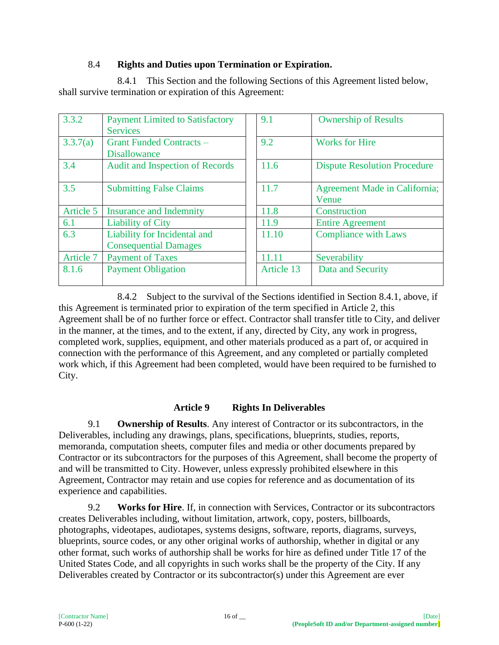### 8.4 **Rights and Duties upon Termination or Expiration.**

| 3.3.2     | <b>Payment Limited to Satisfactory</b> | 9.1        | <b>Ownership of Results</b>         |
|-----------|----------------------------------------|------------|-------------------------------------|
|           | <b>Services</b>                        |            |                                     |
| 3.3.7(a)  | <b>Grant Funded Contracts -</b>        | 9.2        | <b>Works for Hire</b>               |
|           | <b>Disallowance</b>                    |            |                                     |
| 3.4       | <b>Audit and Inspection of Records</b> | 11.6       | <b>Dispute Resolution Procedure</b> |
|           |                                        |            |                                     |
| 3.5       | <b>Submitting False Claims</b>         | 11.7       | Agreement Made in California;       |
|           |                                        |            | Venue                               |
| Article 5 | <b>Insurance and Indemnity</b>         | 11.8       | Construction                        |
| 6.1       | <b>Liability of City</b>               | 11.9       | <b>Entire Agreement</b>             |
| 6.3       | Liability for Incidental and           | 11.10      | <b>Compliance with Laws</b>         |
|           | <b>Consequential Damages</b>           |            |                                     |
| Article 7 | <b>Payment of Taxes</b>                | 11.11      | Severability                        |
| 8.1.6     | <b>Payment Obligation</b>              | Article 13 | Data and Security                   |
|           |                                        |            |                                     |

8.4.1 This Section and the following Sections of this Agreement listed below, shall survive termination or expiration of this Agreement:

8.4.2 Subject to the survival of the Sections identified in Section 8.4.1, above, if this Agreement is terminated prior to expiration of the term specified in Article 2, this Agreement shall be of no further force or effect. Contractor shall transfer title to City, and deliver in the manner, at the times, and to the extent, if any, directed by City, any work in progress, completed work, supplies, equipment, and other materials produced as a part of, or acquired in connection with the performance of this Agreement, and any completed or partially completed work which, if this Agreement had been completed, would have been required to be furnished to City.

### **Article 9 Rights In Deliverables**

9.1 **Ownership of Results**. Any interest of Contractor or its subcontractors, in the Deliverables, including any drawings, plans, specifications, blueprints, studies, reports, memoranda, computation sheets, computer files and media or other documents prepared by Contractor or its subcontractors for the purposes of this Agreement, shall become the property of and will be transmitted to City. However, unless expressly prohibited elsewhere in this Agreement, Contractor may retain and use copies for reference and as documentation of its experience and capabilities.

9.2 **Works for Hire**. If, in connection with Services, Contractor or its subcontractors creates Deliverables including, without limitation, artwork, copy, posters, billboards, photographs, videotapes, audiotapes, systems designs, software, reports, diagrams, surveys, blueprints, source codes, or any other original works of authorship, whether in digital or any other format, such works of authorship shall be works for hire as defined under Title 17 of the United States Code, and all copyrights in such works shall be the property of the City. If any Deliverables created by Contractor or its subcontractor(s) under this Agreement are ever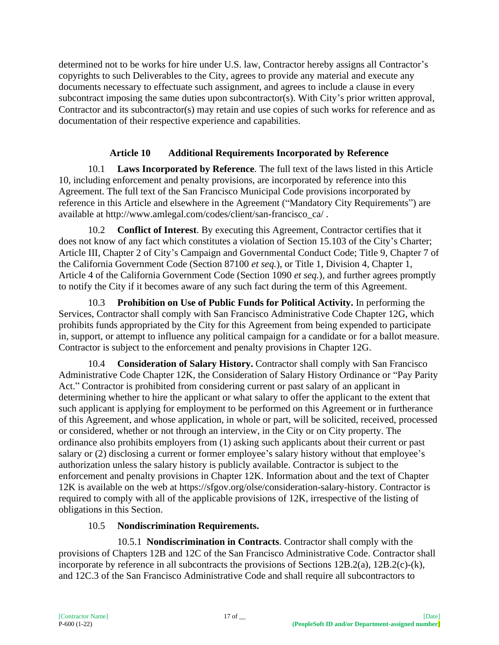determined not to be works for hire under U.S. law, Contractor hereby assigns all Contractor's copyrights to such Deliverables to the City, agrees to provide any material and execute any documents necessary to effectuate such assignment, and agrees to include a clause in every subcontract imposing the same duties upon subcontractor(s). With City's prior written approval, Contractor and its subcontractor(s) may retain and use copies of such works for reference and as documentation of their respective experience and capabilities.

### **Article 10 Additional Requirements Incorporated by Reference**

10.1 **Laws Incorporated by Reference**. The full text of the laws listed in this Article 10, including enforcement and penalty provisions, are incorporated by reference into this Agreement. The full text of the San Francisco Municipal Code provisions incorporated by reference in this Article and elsewhere in the Agreement ("Mandatory City Requirements") are available at http://www.amlegal.com/codes/client/san-francisco\_ca/ .

10.2 **Conflict of Interest**. By executing this Agreement, Contractor certifies that it does not know of any fact which constitutes a violation of Section 15.103 of the City's Charter; Article III, Chapter 2 of City's Campaign and Governmental Conduct Code; Title 9, Chapter 7 of the California Government Code (Section 87100 *et seq.*), or Title 1, Division 4, Chapter 1, Article 4 of the California Government Code (Section 1090 *et seq.*), and further agrees promptly to notify the City if it becomes aware of any such fact during the term of this Agreement.

10.3 **Prohibition on Use of Public Funds for Political Activity.** In performing the Services, Contractor shall comply with San Francisco Administrative Code Chapter 12G, which prohibits funds appropriated by the City for this Agreement from being expended to participate in, support, or attempt to influence any political campaign for a candidate or for a ballot measure. Contractor is subject to the enforcement and penalty provisions in Chapter 12G.

10.4 **Consideration of Salary History.** Contractor shall comply with San Francisco Administrative Code Chapter 12K, the Consideration of Salary History Ordinance or "Pay Parity Act." Contractor is prohibited from considering current or past salary of an applicant in determining whether to hire the applicant or what salary to offer the applicant to the extent that such applicant is applying for employment to be performed on this Agreement or in furtherance of this Agreement, and whose application, in whole or part, will be solicited, received, processed or considered, whether or not through an interview, in the City or on City property. The ordinance also prohibits employers from (1) asking such applicants about their current or past salary or (2) disclosing a current or former employee's salary history without that employee's authorization unless the salary history is publicly available. Contractor is subject to the enforcement and penalty provisions in Chapter 12K. Information about and the text of Chapter 12K is available on the web at https://sfgov.org/olse/consideration-salary-history. Contractor is required to comply with all of the applicable provisions of 12K, irrespective of the listing of obligations in this Section.

### 10.5 **Nondiscrimination Requirements.**

10.5.1 **Nondiscrimination in Contracts**. Contractor shall comply with the provisions of Chapters 12B and 12C of the San Francisco Administrative Code. Contractor shall incorporate by reference in all subcontracts the provisions of Sections 12B.2(a), 12B.2(c)-(k), and 12C.3 of the San Francisco Administrative Code and shall require all subcontractors to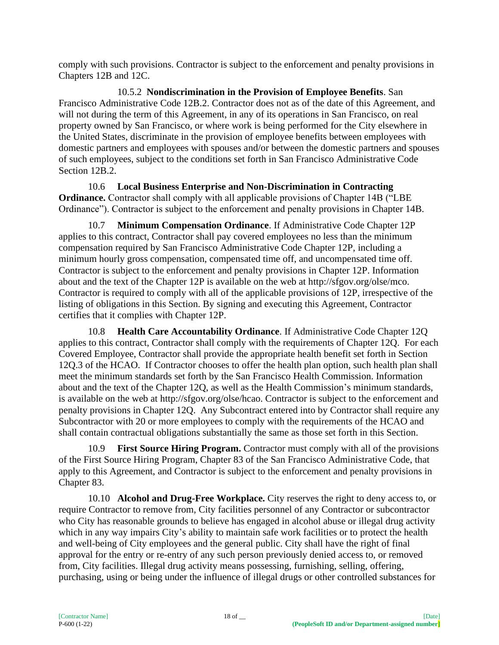comply with such provisions. Contractor is subject to the enforcement and penalty provisions in Chapters 12B and 12C.

10.5.2 **Nondiscrimination in the Provision of Employee Benefits**. San Francisco Administrative Code 12B.2. Contractor does not as of the date of this Agreement, and will not during the term of this Agreement, in any of its operations in San Francisco, on real property owned by San Francisco, or where work is being performed for the City elsewhere in the United States, discriminate in the provision of employee benefits between employees with domestic partners and employees with spouses and/or between the domestic partners and spouses of such employees, subject to the conditions set forth in San Francisco Administrative Code Section 12B.2.

10.6 **Local Business Enterprise and Non-Discrimination in Contracting Ordinance.** Contractor shall comply with all applicable provisions of Chapter 14B ("LBE Ordinance"). Contractor is subject to the enforcement and penalty provisions in Chapter 14B.

10.7 **Minimum Compensation Ordinance**. If Administrative Code Chapter 12P applies to this contract, Contractor shall pay covered employees no less than the minimum compensation required by San Francisco Administrative Code Chapter 12P, including a minimum hourly gross compensation, compensated time off, and uncompensated time off. Contractor is subject to the enforcement and penalty provisions in Chapter 12P. Information about and the text of the Chapter 12P is available on the web at http://sfgov.org/olse/mco. Contractor is required to comply with all of the applicable provisions of 12P, irrespective of the listing of obligations in this Section. By signing and executing this Agreement, Contractor certifies that it complies with Chapter 12P.

10.8 **Health Care Accountability Ordinance**. If Administrative Code Chapter 12Q applies to this contract, Contractor shall comply with the requirements of Chapter 12Q. For each Covered Employee, Contractor shall provide the appropriate health benefit set forth in Section 12Q.3 of the HCAO. If Contractor chooses to offer the health plan option, such health plan shall meet the minimum standards set forth by the San Francisco Health Commission. Information about and the text of the Chapter 12Q, as well as the Health Commission's minimum standards, is available on the web at http://sfgov.org/olse/hcao. Contractor is subject to the enforcement and penalty provisions in Chapter 12Q. Any Subcontract entered into by Contractor shall require any Subcontractor with 20 or more employees to comply with the requirements of the HCAO and shall contain contractual obligations substantially the same as those set forth in this Section.

10.9 **First Source Hiring Program.** Contractor must comply with all of the provisions of the First Source Hiring Program, Chapter 83 of the San Francisco Administrative Code, that apply to this Agreement, and Contractor is subject to the enforcement and penalty provisions in Chapter 83.

10.10 **Alcohol and Drug-Free Workplace.** City reserves the right to deny access to, or require Contractor to remove from, City facilities personnel of any Contractor or subcontractor who City has reasonable grounds to believe has engaged in alcohol abuse or illegal drug activity which in any way impairs City's ability to maintain safe work facilities or to protect the health and well-being of City employees and the general public. City shall have the right of final approval for the entry or re-entry of any such person previously denied access to, or removed from, City facilities. Illegal drug activity means possessing, furnishing, selling, offering, purchasing, using or being under the influence of illegal drugs or other controlled substances for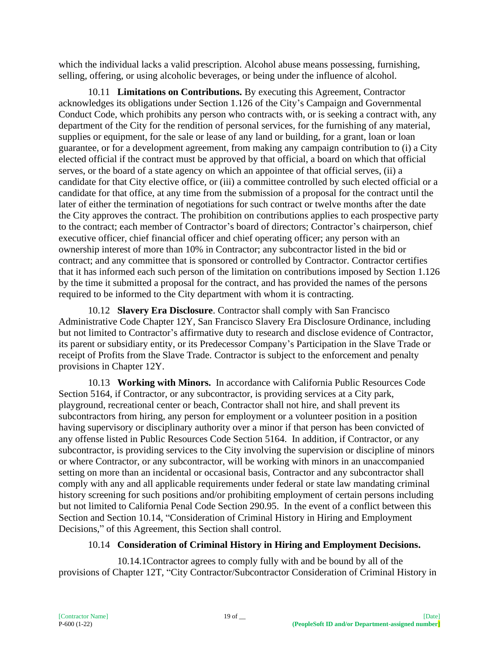which the individual lacks a valid prescription. Alcohol abuse means possessing, furnishing, selling, offering, or using alcoholic beverages, or being under the influence of alcohol.

10.11 **Limitations on Contributions.** By executing this Agreement, Contractor acknowledges its obligations under Section 1.126 of the City's Campaign and Governmental Conduct Code, which prohibits any person who contracts with, or is seeking a contract with, any department of the City for the rendition of personal services, for the furnishing of any material, supplies or equipment, for the sale or lease of any land or building, for a grant, loan or loan guarantee, or for a development agreement, from making any campaign contribution to (i) a City elected official if the contract must be approved by that official, a board on which that official serves, or the board of a state agency on which an appointee of that official serves, (ii) a candidate for that City elective office, or (iii) a committee controlled by such elected official or a candidate for that office, at any time from the submission of a proposal for the contract until the later of either the termination of negotiations for such contract or twelve months after the date the City approves the contract. The prohibition on contributions applies to each prospective party to the contract; each member of Contractor's board of directors; Contractor's chairperson, chief executive officer, chief financial officer and chief operating officer; any person with an ownership interest of more than 10% in Contractor; any subcontractor listed in the bid or contract; and any committee that is sponsored or controlled by Contractor. Contractor certifies that it has informed each such person of the limitation on contributions imposed by Section 1.126 by the time it submitted a proposal for the contract, and has provided the names of the persons required to be informed to the City department with whom it is contracting.

10.12 **Slavery Era Disclosure**. Contractor shall comply with San Francisco Administrative Code Chapter 12Y, San Francisco Slavery Era Disclosure Ordinance, including but not limited to Contractor's affirmative duty to research and disclose evidence of Contractor, its parent or subsidiary entity, or its Predecessor Company's Participation in the Slave Trade or receipt of Profits from the Slave Trade. Contractor is subject to the enforcement and penalty provisions in Chapter 12Y.

10.13 **Working with Minors.** In accordance with California Public Resources Code Section 5164, if Contractor, or any subcontractor, is providing services at a City park, playground, recreational center or beach, Contractor shall not hire, and shall prevent its subcontractors from hiring, any person for employment or a volunteer position in a position having supervisory or disciplinary authority over a minor if that person has been convicted of any offense listed in Public Resources Code Section 5164. In addition, if Contractor, or any subcontractor, is providing services to the City involving the supervision or discipline of minors or where Contractor, or any subcontractor, will be working with minors in an unaccompanied setting on more than an incidental or occasional basis, Contractor and any subcontractor shall comply with any and all applicable requirements under federal or state law mandating criminal history screening for such positions and/or prohibiting employment of certain persons including but not limited to California Penal Code Section 290.95. In the event of a conflict between this Section and Section 10.14, "Consideration of Criminal History in Hiring and Employment Decisions," of this Agreement, this Section shall control.

#### 10.14 **Consideration of Criminal History in Hiring and Employment Decisions.**

10.14.1Contractor agrees to comply fully with and be bound by all of the provisions of Chapter 12T, "City Contractor/Subcontractor Consideration of Criminal History in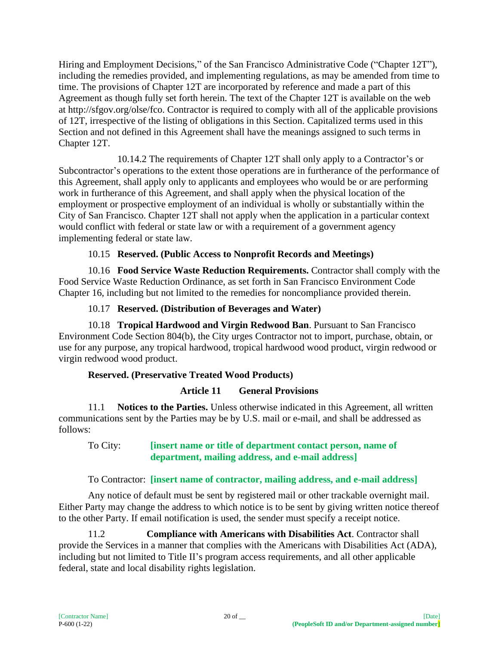Hiring and Employment Decisions," of the San Francisco Administrative Code ("Chapter 12T"), including the remedies provided, and implementing regulations, as may be amended from time to time. The provisions of Chapter 12T are incorporated by reference and made a part of this Agreement as though fully set forth herein. The text of the Chapter 12T is available on the web at http://sfgov.org/olse/fco. Contractor is required to comply with all of the applicable provisions of 12T, irrespective of the listing of obligations in this Section. Capitalized terms used in this Section and not defined in this Agreement shall have the meanings assigned to such terms in Chapter 12T.

10.14.2 The requirements of Chapter 12T shall only apply to a Contractor's or Subcontractor's operations to the extent those operations are in furtherance of the performance of this Agreement, shall apply only to applicants and employees who would be or are performing work in furtherance of this Agreement, and shall apply when the physical location of the employment or prospective employment of an individual is wholly or substantially within the City of San Francisco. Chapter 12T shall not apply when the application in a particular context would conflict with federal or state law or with a requirement of a government agency implementing federal or state law.

### 10.15 **Reserved. (Public Access to Nonprofit Records and Meetings)**

10.16 **Food Service Waste Reduction Requirements.** Contractor shall comply with the Food Service Waste Reduction Ordinance, as set forth in San Francisco Environment Code Chapter 16, including but not limited to the remedies for noncompliance provided therein.

#### 10.17 **Reserved. (Distribution of Beverages and Water)**

10.18 **Tropical Hardwood and Virgin Redwood Ban**. Pursuant to San Francisco Environment Code Section 804(b), the City urges Contractor not to import, purchase, obtain, or use for any purpose, any tropical hardwood, tropical hardwood wood product, virgin redwood or virgin redwood wood product.

#### **Reserved. (Preservative Treated Wood Products)**

### **Article 11 General Provisions**

11.1 **Notices to the Parties.** Unless otherwise indicated in this Agreement, all written communications sent by the Parties may be by U.S. mail or e-mail, and shall be addressed as follows:

To City: **[insert name or title of department contact person, name of department, mailing address, and e-mail address]**

#### To Contractor: **[insert name of contractor, mailing address, and e-mail address]**

Any notice of default must be sent by registered mail or other trackable overnight mail. Either Party may change the address to which notice is to be sent by giving written notice thereof to the other Party. If email notification is used, the sender must specify a receipt notice.

11.2 **Compliance with Americans with Disabilities Act**. Contractor shall provide the Services in a manner that complies with the Americans with Disabilities Act (ADA), including but not limited to Title II's program access requirements, and all other applicable federal, state and local disability rights legislation.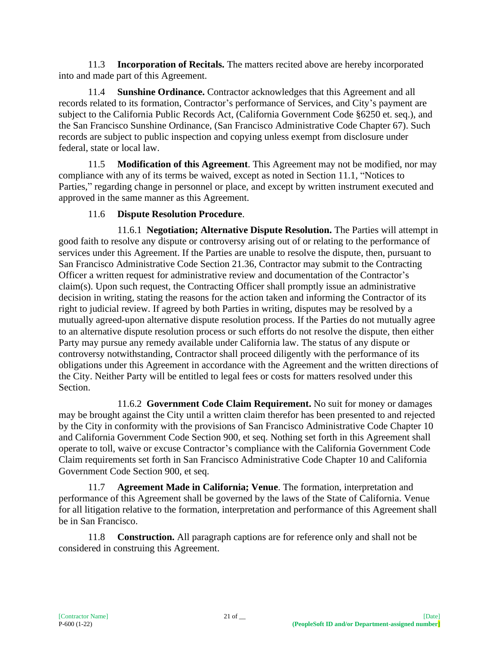11.3 **Incorporation of Recitals.** The matters recited above are hereby incorporated into and made part of this Agreement.

11.4 **Sunshine Ordinance.** Contractor acknowledges that this Agreement and all records related to its formation, Contractor's performance of Services, and City's payment are subject to the California Public Records Act, (California Government Code §6250 et. seq.), and the San Francisco Sunshine Ordinance, (San Francisco Administrative Code Chapter 67). Such records are subject to public inspection and copying unless exempt from disclosure under federal, state or local law.

11.5 **Modification of this Agreement**. This Agreement may not be modified, nor may compliance with any of its terms be waived, except as noted in Section 11.1, "Notices to Parties," regarding change in personnel or place, and except by written instrument executed and approved in the same manner as this Agreement.

### 11.6 **Dispute Resolution Procedure**.

11.6.1 **Negotiation; Alternative Dispute Resolution.** The Parties will attempt in good faith to resolve any dispute or controversy arising out of or relating to the performance of services under this Agreement. If the Parties are unable to resolve the dispute, then, pursuant to San Francisco Administrative Code Section 21.36, Contractor may submit to the Contracting Officer a written request for administrative review and documentation of the Contractor's claim(s). Upon such request, the Contracting Officer shall promptly issue an administrative decision in writing, stating the reasons for the action taken and informing the Contractor of its right to judicial review. If agreed by both Parties in writing, disputes may be resolved by a mutually agreed-upon alternative dispute resolution process. If the Parties do not mutually agree to an alternative dispute resolution process or such efforts do not resolve the dispute, then either Party may pursue any remedy available under California law. The status of any dispute or controversy notwithstanding, Contractor shall proceed diligently with the performance of its obligations under this Agreement in accordance with the Agreement and the written directions of the City. Neither Party will be entitled to legal fees or costs for matters resolved under this Section.

11.6.2 **Government Code Claim Requirement.** No suit for money or damages may be brought against the City until a written claim therefor has been presented to and rejected by the City in conformity with the provisions of San Francisco Administrative Code Chapter 10 and California Government Code Section 900, et seq. Nothing set forth in this Agreement shall operate to toll, waive or excuse Contractor's compliance with the California Government Code Claim requirements set forth in San Francisco Administrative Code Chapter 10 and California Government Code Section 900, et seq.

11.7 **Agreement Made in California; Venue**. The formation, interpretation and performance of this Agreement shall be governed by the laws of the State of California. Venue for all litigation relative to the formation, interpretation and performance of this Agreement shall be in San Francisco.

11.8 **Construction.** All paragraph captions are for reference only and shall not be considered in construing this Agreement.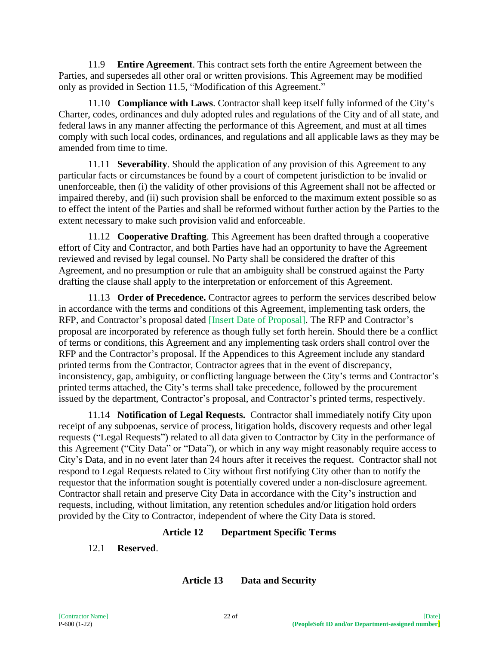11.9 **Entire Agreement**. This contract sets forth the entire Agreement between the Parties, and supersedes all other oral or written provisions. This Agreement may be modified only as provided in Section 11.5, "Modification of this Agreement."

11.10 **Compliance with Laws**. Contractor shall keep itself fully informed of the City's Charter, codes, ordinances and duly adopted rules and regulations of the City and of all state, and federal laws in any manner affecting the performance of this Agreement, and must at all times comply with such local codes, ordinances, and regulations and all applicable laws as they may be amended from time to time.

11.11 **Severability**. Should the application of any provision of this Agreement to any particular facts or circumstances be found by a court of competent jurisdiction to be invalid or unenforceable, then (i) the validity of other provisions of this Agreement shall not be affected or impaired thereby, and (ii) such provision shall be enforced to the maximum extent possible so as to effect the intent of the Parties and shall be reformed without further action by the Parties to the extent necessary to make such provision valid and enforceable.

11.12 **Cooperative Drafting**. This Agreement has been drafted through a cooperative effort of City and Contractor, and both Parties have had an opportunity to have the Agreement reviewed and revised by legal counsel. No Party shall be considered the drafter of this Agreement, and no presumption or rule that an ambiguity shall be construed against the Party drafting the clause shall apply to the interpretation or enforcement of this Agreement.

11.13 **Order of Precedence.** Contractor agrees to perform the services described below in accordance with the terms and conditions of this Agreement, implementing task orders, the RFP, and Contractor's proposal dated [Insert Date of Proposal]. The RFP and Contractor's proposal are incorporated by reference as though fully set forth herein. Should there be a conflict of terms or conditions, this Agreement and any implementing task orders shall control over the RFP and the Contractor's proposal. If the Appendices to this Agreement include any standard printed terms from the Contractor, Contractor agrees that in the event of discrepancy, inconsistency, gap, ambiguity, or conflicting language between the City's terms and Contractor's printed terms attached, the City's terms shall take precedence, followed by the procurement issued by the department, Contractor's proposal, and Contractor's printed terms, respectively.

11.14 **Notification of Legal Requests.** Contractor shall immediately notify City upon receipt of any subpoenas, service of process, litigation holds, discovery requests and other legal requests ("Legal Requests") related to all data given to Contractor by City in the performance of this Agreement ("City Data" or "Data"), or which in any way might reasonably require access to City's Data, and in no event later than 24 hours after it receives the request. Contractor shall not respond to Legal Requests related to City without first notifying City other than to notify the requestor that the information sought is potentially covered under a non-disclosure agreement. Contractor shall retain and preserve City Data in accordance with the City's instruction and requests, including, without limitation, any retention schedules and/or litigation hold orders provided by the City to Contractor, independent of where the City Data is stored.

#### **Article 12 Department Specific Terms**

### 12.1 **Reserved**.

### **Article 13 Data and Security**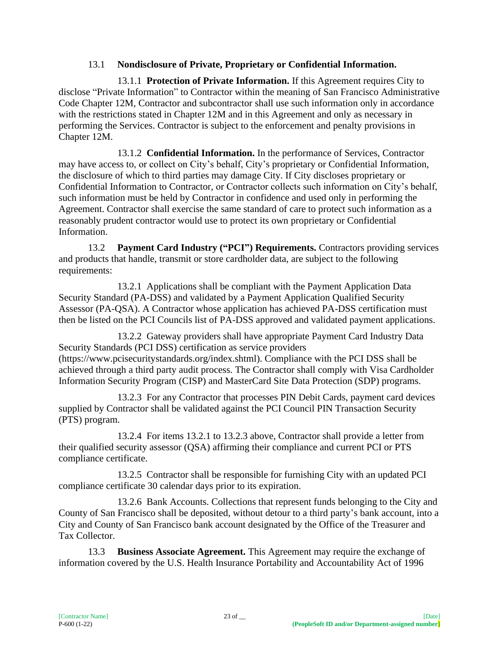### 13.1 **Nondisclosure of Private, Proprietary or Confidential Information.**

13.1.1 **Protection of Private Information.** If this Agreement requires City to disclose "Private Information" to Contractor within the meaning of San Francisco Administrative Code Chapter 12M, Contractor and subcontractor shall use such information only in accordance with the restrictions stated in Chapter 12M and in this Agreement and only as necessary in performing the Services. Contractor is subject to the enforcement and penalty provisions in Chapter 12M.

13.1.2 **Confidential Information.** In the performance of Services, Contractor may have access to, or collect on City's behalf, City's proprietary or Confidential Information, the disclosure of which to third parties may damage City. If City discloses proprietary or Confidential Information to Contractor, or Contractor collects such information on City's behalf, such information must be held by Contractor in confidence and used only in performing the Agreement. Contractor shall exercise the same standard of care to protect such information as a reasonably prudent contractor would use to protect its own proprietary or Confidential Information.

13.2 **Payment Card Industry ("PCI") Requirements.** Contractors providing services and products that handle, transmit or store cardholder data, are subject to the following requirements:

13.2.1 Applications shall be compliant with the Payment Application Data Security Standard (PA-DSS) and validated by a Payment Application Qualified Security Assessor (PA-QSA). A Contractor whose application has achieved PA-DSS certification must then be listed on the PCI Councils list of PA-DSS approved and validated payment applications.

13.2.2 Gateway providers shall have appropriate Payment Card Industry Data Security Standards (PCI DSS) certification as service providers (https://www.pcisecuritystandards.org/index.shtml). Compliance with the PCI DSS shall be achieved through a third party audit process. The Contractor shall comply with Visa Cardholder Information Security Program (CISP) and MasterCard Site Data Protection (SDP) programs.

13.2.3 For any Contractor that processes PIN Debit Cards, payment card devices supplied by Contractor shall be validated against the PCI Council PIN Transaction Security (PTS) program.

13.2.4 For items 13.2.1 to 13.2.3 above, Contractor shall provide a letter from their qualified security assessor (QSA) affirming their compliance and current PCI or PTS compliance certificate.

13.2.5 Contractor shall be responsible for furnishing City with an updated PCI compliance certificate 30 calendar days prior to its expiration.

13.2.6 Bank Accounts. Collections that represent funds belonging to the City and County of San Francisco shall be deposited, without detour to a third party's bank account, into a City and County of San Francisco bank account designated by the Office of the Treasurer and Tax Collector.

13.3 **Business Associate Agreement.** This Agreement may require the exchange of information covered by the U.S. Health Insurance Portability and Accountability Act of 1996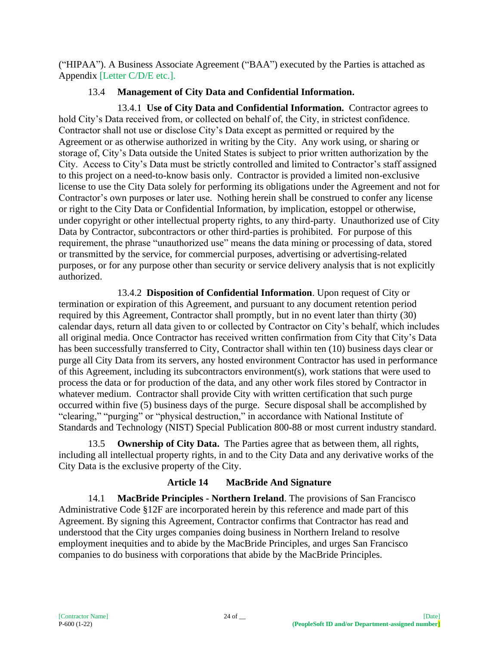("HIPAA"). A Business Associate Agreement ("BAA") executed by the Parties is attached as Appendix [Letter C/D/E etc.].

### 13.4 **Management of City Data and Confidential Information.**

13.4.1 **Use of City Data and Confidential Information.** Contractor agrees to hold City's Data received from, or collected on behalf of, the City, in strictest confidence. Contractor shall not use or disclose City's Data except as permitted or required by the Agreement or as otherwise authorized in writing by the City. Any work using, or sharing or storage of, City's Data outside the United States is subject to prior written authorization by the City. Access to City's Data must be strictly controlled and limited to Contractor's staff assigned to this project on a need-to-know basis only. Contractor is provided a limited non-exclusive license to use the City Data solely for performing its obligations under the Agreement and not for Contractor's own purposes or later use. Nothing herein shall be construed to confer any license or right to the City Data or Confidential Information, by implication, estoppel or otherwise, under copyright or other intellectual property rights, to any third-party. Unauthorized use of City Data by Contractor, subcontractors or other third-parties is prohibited. For purpose of this requirement, the phrase "unauthorized use" means the data mining or processing of data, stored or transmitted by the service, for commercial purposes, advertising or advertising-related purposes, or for any purpose other than security or service delivery analysis that is not explicitly authorized.

13.4.2 **Disposition of Confidential Information**. Upon request of City or termination or expiration of this Agreement, and pursuant to any document retention period required by this Agreement, Contractor shall promptly, but in no event later than thirty (30) calendar days, return all data given to or collected by Contractor on City's behalf, which includes all original media. Once Contractor has received written confirmation from City that City's Data has been successfully transferred to City, Contractor shall within ten (10) business days clear or purge all City Data from its servers, any hosted environment Contractor has used in performance of this Agreement, including its subcontractors environment(s), work stations that were used to process the data or for production of the data, and any other work files stored by Contractor in whatever medium. Contractor shall provide City with written certification that such purge occurred within five (5) business days of the purge. Secure disposal shall be accomplished by "clearing," "purging" or "physical destruction," in accordance with National Institute of Standards and Technology (NIST) Special Publication 800-88 or most current industry standard.

13.5 **Ownership of City Data.** The Parties agree that as between them, all rights, including all intellectual property rights, in and to the City Data and any derivative works of the City Data is the exclusive property of the City.

### **Article 14 MacBride And Signature**

14.1 **MacBride Principles - Northern Ireland**. The provisions of San Francisco Administrative Code §12F are incorporated herein by this reference and made part of this Agreement. By signing this Agreement, Contractor confirms that Contractor has read and understood that the City urges companies doing business in Northern Ireland to resolve employment inequities and to abide by the MacBride Principles, and urges San Francisco companies to do business with corporations that abide by the MacBride Principles.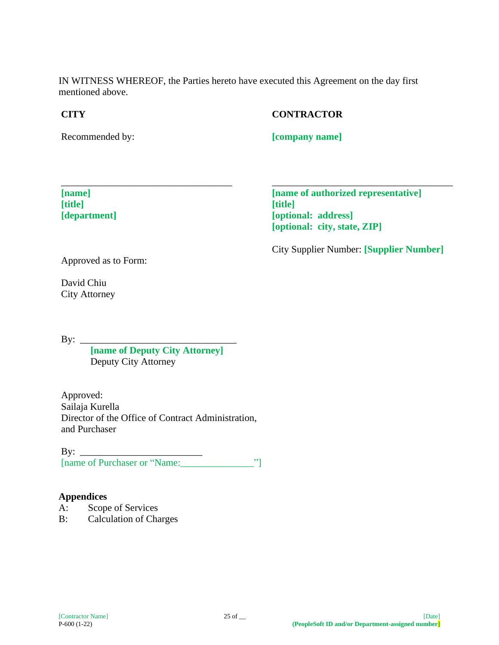IN WITNESS WHEREOF, the Parties hereto have executed this Agreement on the day first mentioned above.

#### **CITY**

### **CONTRACTOR**

Recommended by:

**[company name]**

\_\_\_\_\_\_\_\_\_\_\_\_\_\_\_\_\_\_\_\_\_\_\_\_\_\_\_\_\_\_\_\_\_\_\_ **[name] [title] [department]**

**[name of authorized representative] [title] [optional: address] [optional: city, state, ZIP]**

City Supplier Number: **[Supplier Number]**

\_\_\_\_\_\_\_\_\_\_\_\_\_\_\_\_\_\_\_\_\_\_\_\_\_\_\_\_\_\_\_\_\_\_\_\_\_

Approved as to Form:

David Chiu City Attorney

By:  $\frac{\text{By:}}{\text{By:}}$ 

**[name of Deputy City Attorney]** Deputy City Attorney

Approved: Sailaja Kurella Director of the Office of Contract Administration, and Purchaser

 $By:$ [name of Purchaser or "Name:\_\_\_\_\_\_\_\_\_\_\_\_\_\_\_"]

#### **Appendices**

- A: Scope of Services
- B: Calculation of Charges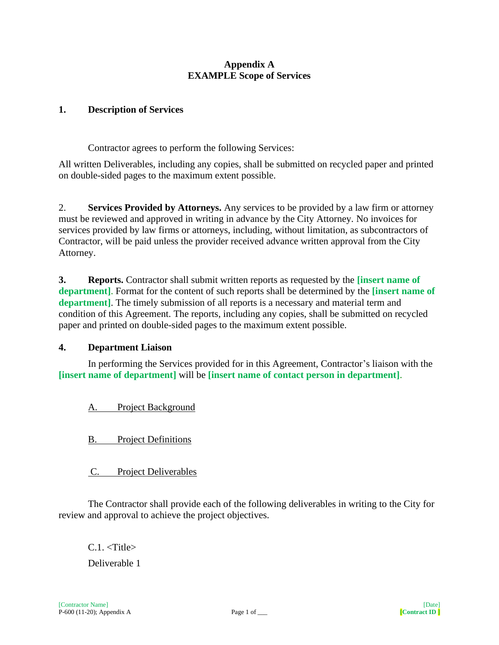#### **Appendix A EXAMPLE Scope of Services**

#### **1. Description of Services**

Contractor agrees to perform the following Services:

All written Deliverables, including any copies, shall be submitted on recycled paper and printed on double-sided pages to the maximum extent possible.

2. **Services Provided by Attorneys.** Any services to be provided by a law firm or attorney must be reviewed and approved in writing in advance by the City Attorney. No invoices for services provided by law firms or attorneys, including, without limitation, as subcontractors of Contractor, will be paid unless the provider received advance written approval from the City Attorney.

**3. Reports.** Contractor shall submit written reports as requested by the **[insert name of department]**. Format for the content of such reports shall be determined by the **[insert name of department]**. The timely submission of all reports is a necessary and material term and condition of this Agreement. The reports, including any copies, shall be submitted on recycled paper and printed on double-sided pages to the maximum extent possible.

#### **4. Department Liaison**

In performing the Services provided for in this Agreement, Contractor's liaison with the **[insert name of department]** will be **[insert name of contact person in department]**.

A. Project Background

B. Project Definitions

C. Project Deliverables

The Contractor shall provide each of the following deliverables in writing to the City for review and approval to achieve the project objectives.

C.1. <Title> Deliverable 1

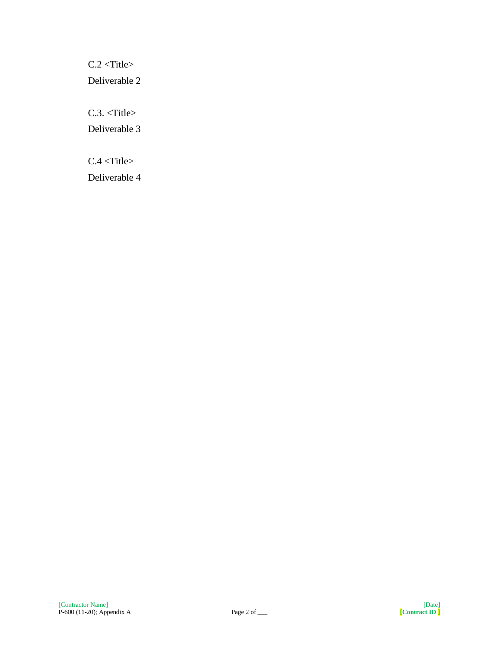C.2 <Title> Deliverable 2

C.3. <Title>

Deliverable 3

C.4 <Title>

Deliverable 4